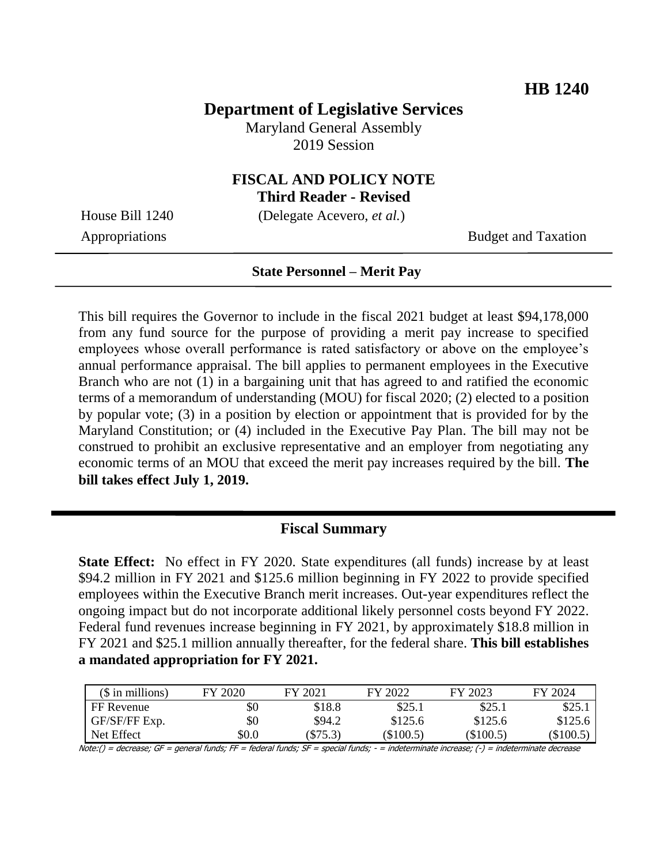## **Department of Legislative Services**

Maryland General Assembly 2019 Session

# **FISCAL AND POLICY NOTE**

**Third Reader - Revised**

House Bill 1240 (Delegate Acevero, *et al.*)

Appropriations Budget and Taxation

#### **State Personnel – Merit Pay**

This bill requires the Governor to include in the fiscal 2021 budget at least \$94,178,000 from any fund source for the purpose of providing a merit pay increase to specified employees whose overall performance is rated satisfactory or above on the employee's annual performance appraisal. The bill applies to permanent employees in the Executive Branch who are not (1) in a bargaining unit that has agreed to and ratified the economic terms of a memorandum of understanding (MOU) for fiscal 2020; (2) elected to a position by popular vote; (3) in a position by election or appointment that is provided for by the Maryland Constitution; or (4) included in the Executive Pay Plan. The bill may not be construed to prohibit an exclusive representative and an employer from negotiating any economic terms of an MOU that exceed the merit pay increases required by the bill. **The bill takes effect July 1, 2019.** 

#### **Fiscal Summary**

**State Effect:** No effect in FY 2020. State expenditures (all funds) increase by at least \$94.2 million in FY 2021 and \$125.6 million beginning in FY 2022 to provide specified employees within the Executive Branch merit increases. Out-year expenditures reflect the ongoing impact but do not incorporate additional likely personnel costs beyond FY 2022. Federal fund revenues increase beginning in FY 2021, by approximately \$18.8 million in FY 2021 and \$25.1 million annually thereafter, for the federal share. **This bill establishes a mandated appropriation for FY 2021.**

| $($$ in millions) | FY 2020 | FY 2021 | FY 2022   | FY 2023     | FY 2024   |
|-------------------|---------|---------|-----------|-------------|-----------|
| FF Revenue        | \$0     | \$18.8  | \$25.1    | \$25.1      | \$25.1    |
| GF/SF/FF Exp.     | \$0     | \$94.2  | \$125.6   | \$125.6     | \$125.6   |
| Net Effect        | \$0.0   | \$75.3  | (\$100.5) | $(\$100.5)$ | (\$100.5) |

Note:() = decrease; GF = general funds; FF = federal funds; SF = special funds; - = indeterminate increase; (-) = indeterminate decrease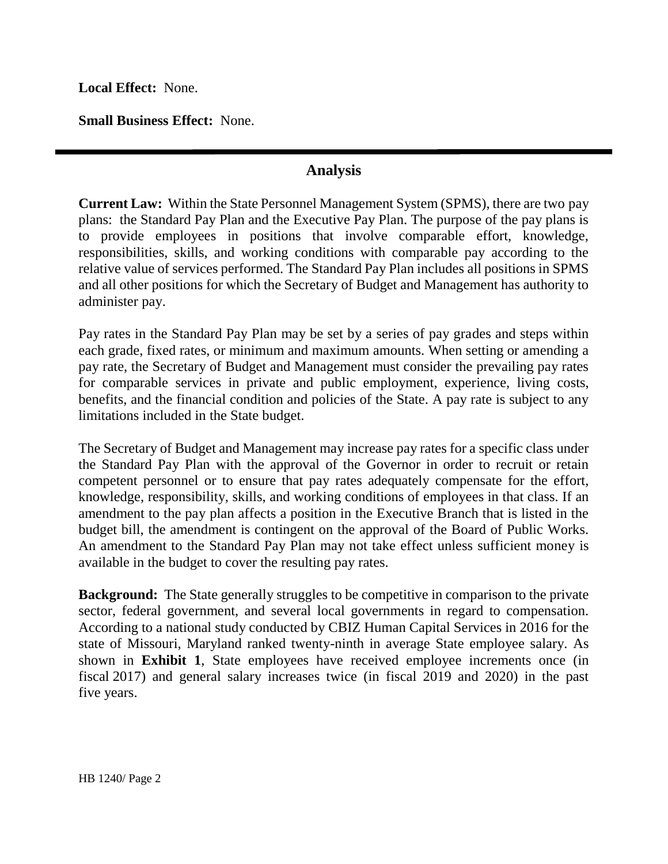**Local Effect:** None.

**Small Business Effect:** None.

## **Analysis**

**Current Law:** Within the State Personnel Management System (SPMS), there are two pay plans: the Standard Pay Plan and the Executive Pay Plan. The purpose of the pay plans is to provide employees in positions that involve comparable effort, knowledge, responsibilities, skills, and working conditions with comparable pay according to the relative value of services performed. The Standard Pay Plan includes all positions in SPMS and all other positions for which the Secretary of Budget and Management has authority to administer pay.

Pay rates in the Standard Pay Plan may be set by a series of pay grades and steps within each grade, fixed rates, or minimum and maximum amounts. When setting or amending a pay rate, the Secretary of Budget and Management must consider the prevailing pay rates for comparable services in private and public employment, experience, living costs, benefits, and the financial condition and policies of the State. A pay rate is subject to any limitations included in the State budget.

The Secretary of Budget and Management may increase pay rates for a specific class under the Standard Pay Plan with the approval of the Governor in order to recruit or retain competent personnel or to ensure that pay rates adequately compensate for the effort, knowledge, responsibility, skills, and working conditions of employees in that class. If an amendment to the pay plan affects a position in the Executive Branch that is listed in the budget bill, the amendment is contingent on the approval of the Board of Public Works. An amendment to the Standard Pay Plan may not take effect unless sufficient money is available in the budget to cover the resulting pay rates.

**Background:** The State generally struggles to be competitive in comparison to the private sector, federal government, and several local governments in regard to compensation. According to a national study conducted by CBIZ Human Capital Services in 2016 for the state of Missouri, Maryland ranked twenty-ninth in average State employee salary. As shown in **Exhibit 1**, State employees have received employee increments once (in fiscal 2017) and general salary increases twice (in fiscal 2019 and 2020) in the past five years.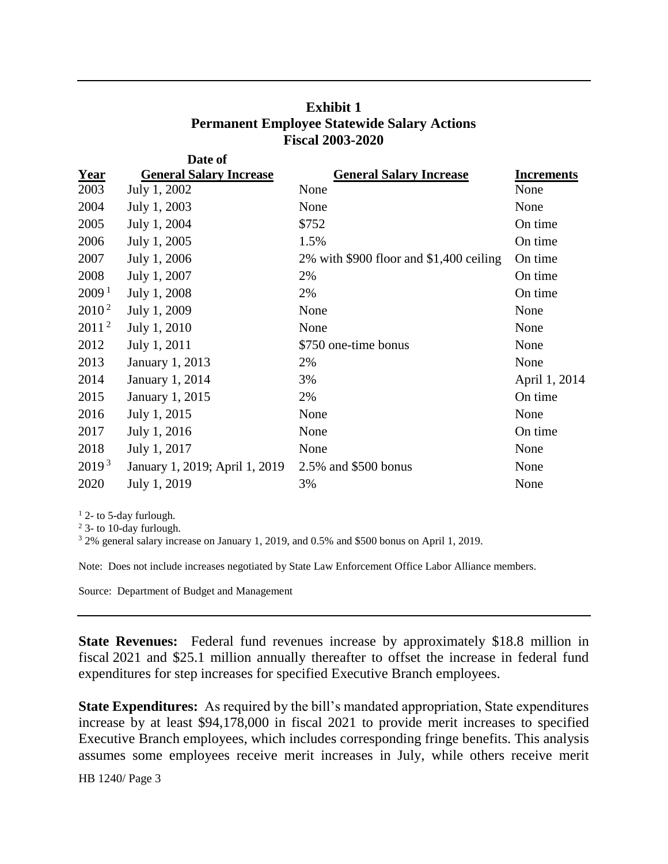| <b>Exhibit 1</b>                                   |  |
|----------------------------------------------------|--|
| <b>Permanent Employee Statewide Salary Actions</b> |  |
| <b>Fiscal 2003-2020</b>                            |  |

|                   | Date of                        |                                         |                   |
|-------------------|--------------------------------|-----------------------------------------|-------------------|
| <b>Year</b>       | <b>General Salary Increase</b> | <b>General Salary Increase</b>          | <b>Increments</b> |
| 2003              | July 1, 2002                   | None                                    | None              |
| 2004              | July 1, 2003                   | None                                    | None              |
| 2005              | July 1, 2004                   | \$752                                   | On time           |
| 2006              | July 1, 2005                   | 1.5%                                    | On time           |
| 2007              | July 1, 2006                   | 2% with \$900 floor and \$1,400 ceiling | On time           |
| 2008              | July 1, 2007                   | 2%                                      | On time           |
| 2009 <sup>1</sup> | July 1, 2008                   | 2%                                      | On time           |
| $2010^2$          | July 1, 2009                   | None                                    | None              |
| 2011 <sup>2</sup> | July 1, 2010                   | None                                    | None              |
| 2012              | July 1, 2011                   | \$750 one-time bonus                    | None              |
| 2013              | <b>January 1, 2013</b>         | 2%                                      | None              |
| 2014              | <b>January 1, 2014</b>         | 3%                                      | April 1, 2014     |
| 2015              | January 1, 2015                | 2%                                      | On time           |
| 2016              | July 1, 2015                   | None                                    | None              |
| 2017              | July 1, 2016                   | None                                    | On time           |
| 2018              | July 1, 2017                   | None                                    | None              |
| 2019 <sup>3</sup> | January 1, 2019; April 1, 2019 | 2.5% and \$500 bonus                    | None              |
| 2020              | July 1, 2019                   | 3%                                      | None              |

 $1$  2- to 5-day furlough.

<sup>2</sup> 3- to 10-day furlough.

<sup>3</sup> 2% general salary increase on January 1, 2019, and 0.5% and \$500 bonus on April 1, 2019.

Note: Does not include increases negotiated by State Law Enforcement Office Labor Alliance members.

Source: Department of Budget and Management

**State Revenues:** Federal fund revenues increase by approximately \$18.8 million in fiscal 2021 and \$25.1 million annually thereafter to offset the increase in federal fund expenditures for step increases for specified Executive Branch employees.

**State Expenditures:** As required by the bill's mandated appropriation, State expenditures increase by at least \$94,178,000 in fiscal 2021 to provide merit increases to specified Executive Branch employees, which includes corresponding fringe benefits. This analysis assumes some employees receive merit increases in July, while others receive merit

HB 1240/ Page 3